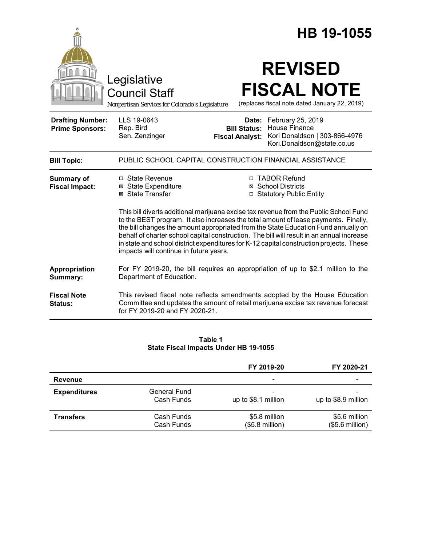|                                                   |                                                                                                                                                                                                                                                                                                                                                                                                                                                                                                                                                                                                                                                            |                                                        | HB 19-1055                                                                                               |  |  |
|---------------------------------------------------|------------------------------------------------------------------------------------------------------------------------------------------------------------------------------------------------------------------------------------------------------------------------------------------------------------------------------------------------------------------------------------------------------------------------------------------------------------------------------------------------------------------------------------------------------------------------------------------------------------------------------------------------------------|--------------------------------------------------------|----------------------------------------------------------------------------------------------------------|--|--|
|                                                   | Legislative<br><b>Council Staff</b><br>Nonpartisan Services for Colorado's Legislature                                                                                                                                                                                                                                                                                                                                                                                                                                                                                                                                                                     |                                                        | <b>REVISED</b><br><b>FISCAL NOTE</b><br>(replaces fiscal note dated January 22, 2019)                    |  |  |
| <b>Drafting Number:</b><br><b>Prime Sponsors:</b> | LLS 19-0643<br>Rep. Bird<br>Sen. Zenzinger                                                                                                                                                                                                                                                                                                                                                                                                                                                                                                                                                                                                                 | Date:<br><b>Bill Status:</b><br><b>Fiscal Analyst:</b> | February 25, 2019<br><b>House Finance</b><br>Kori Donaldson   303-866-4976<br>Kori.Donaldson@state.co.us |  |  |
| <b>Bill Topic:</b>                                | PUBLIC SCHOOL CAPITAL CONSTRUCTION FINANCIAL ASSISTANCE                                                                                                                                                                                                                                                                                                                                                                                                                                                                                                                                                                                                    |                                                        |                                                                                                          |  |  |
| <b>Summary of</b><br><b>Fiscal Impact:</b>        | $\Box$ State Revenue<br>□ TABOR Refund<br><b>⊠ School Districts</b><br><b>⊠</b> State Expenditure<br>⊠ State Transfer<br>□ Statutory Public Entity<br>This bill diverts additional marijuana excise tax revenue from the Public School Fund<br>to the BEST program. It also increases the total amount of lease payments. Finally,<br>the bill changes the amount appropriated from the State Education Fund annually on<br>behalf of charter school capital construction. The bill will result in an annual increase<br>in state and school district expenditures for K-12 capital construction projects. These<br>impacts will continue in future years. |                                                        |                                                                                                          |  |  |
| Appropriation<br>Summary:                         | For FY 2019-20, the bill requires an appropriation of up to \$2.1 million to the<br>Department of Education.                                                                                                                                                                                                                                                                                                                                                                                                                                                                                                                                               |                                                        |                                                                                                          |  |  |
| <b>Fiscal Note</b><br>Status:                     | This revised fiscal note reflects amendments adopted by the House Education<br>Committee and updates the amount of retail marijuana excise tax revenue forecast<br>for FY 2019-20 and FY 2020-21.                                                                                                                                                                                                                                                                                                                                                                                                                                                          |                                                        |                                                                                                          |  |  |

#### **Table 1 State Fiscal Impacts Under HB 19-1055**

|                     |                            | FY 2019-20                        | FY 2020-21                        |
|---------------------|----------------------------|-----------------------------------|-----------------------------------|
| Revenue             |                            |                                   |                                   |
| <b>Expenditures</b> | General Fund<br>Cash Funds | up to \$8.1 million               | up to \$8.9 million               |
| <b>Transfers</b>    | Cash Funds<br>Cash Funds   | \$5.8 million<br>$($5.8$ million) | \$5.6 million<br>$($5.6$ million) |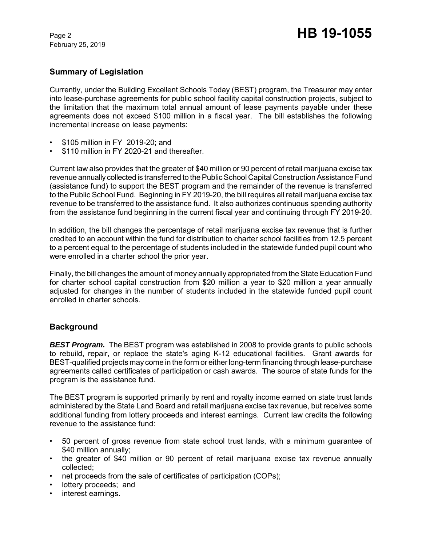February 25, 2019

# **Summary of Legislation**

Currently, under the Building Excellent Schools Today (BEST) program, the Treasurer may enter into lease-purchase agreements for public school facility capital construction projects, subject to the limitation that the maximum total annual amount of lease payments payable under these agreements does not exceed \$100 million in a fiscal year. The bill establishes the following incremental increase on lease payments:

- \$105 million in FY 2019-20; and
- \$110 million in FY 2020-21 and thereafter.

Current law also provides that the greater of \$40 million or 90 percent of retail marijuana excise tax revenue annually collected is transferred to the Public School Capital Construction Assistance Fund (assistance fund) to support the BEST program and the remainder of the revenue is transferred to the Public School Fund. Beginning in FY 2019-20, the bill requires all retail marijuana excise tax revenue to be transferred to the assistance fund. It also authorizes continuous spending authority from the assistance fund beginning in the current fiscal year and continuing through FY 2019-20.

In addition, the bill changes the percentage of retail marijuana excise tax revenue that is further credited to an account within the fund for distribution to charter school facilities from 12.5 percent to a percent equal to the percentage of students included in the statewide funded pupil count who were enrolled in a charter school the prior year.

Finally, the bill changes the amount of money annually appropriated from the State Education Fund for charter school capital construction from \$20 million a year to \$20 million a year annually adjusted for changes in the number of students included in the statewide funded pupil count enrolled in charter schools.

# **Background**

*BEST Program.* The BEST program was established in 2008 to provide grants to public schools to rebuild, repair, or replace the state's aging K-12 educational facilities. Grant awards for BEST-qualified projects may come in the form or either long-term financing through lease-purchase agreements called certificates of participation or cash awards. The source of state funds for the program is the assistance fund.

The BEST program is supported primarily by rent and royalty income earned on state trust lands administered by the State Land Board and retail marijuana excise tax revenue, but receives some additional funding from lottery proceeds and interest earnings. Current law credits the following revenue to the assistance fund:

- 50 percent of gross revenue from state school trust lands, with a minimum guarantee of \$40 million annually;
- the greater of \$40 million or 90 percent of retail marijuana excise tax revenue annually collected;
- net proceeds from the sale of certificates of participation (COPs);
- lottery proceeds; and
- interest earnings.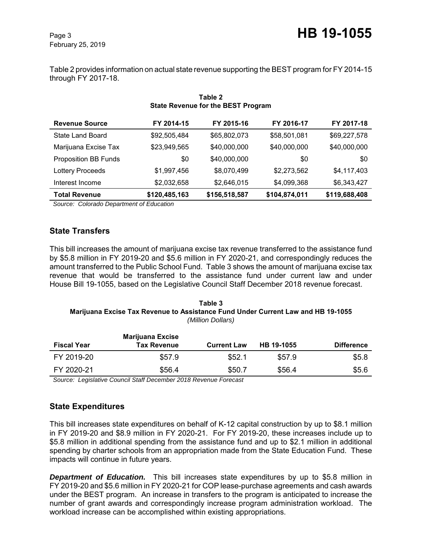February 25, 2019

Table 2 provides information on actual state revenue supporting the BEST program for FY 2014-15 through FY 2017-18.

| State Revenue for the BEST Program |               |               |               |               |  |  |  |
|------------------------------------|---------------|---------------|---------------|---------------|--|--|--|
| <b>Revenue Source</b>              | FY 2014-15    | FY 2015-16    | FY 2016-17    | FY 2017-18    |  |  |  |
| State Land Board                   | \$92,505,484  | \$65,802,073  | \$58,501,081  | \$69,227,578  |  |  |  |
| Marijuana Excise Tax               | \$23,949,565  | \$40,000,000  | \$40,000,000  | \$40,000,000  |  |  |  |
| <b>Proposition BB Funds</b>        | \$0           | \$40,000,000  | \$0           | \$0           |  |  |  |
| <b>Lottery Proceeds</b>            | \$1,997,456   | \$8,070,499   | \$2,273,562   | \$4,117,403   |  |  |  |
| Interest Income                    | \$2,032,658   | \$2,646,015   | \$4,099,368   | \$6,343,427   |  |  |  |
| <b>Total Revenue</b>               | \$120,485,163 | \$156,518,587 | \$104,874,011 | \$119,688,408 |  |  |  |

### **Table 2 State Revenue for the BEST Program**

 *Source: Colorado Department of Education*

# **State Transfers**

This bill increases the amount of marijuana excise tax revenue transferred to the assistance fund by \$5.8 million in FY 2019-20 and \$5.6 million in FY 2020-21, and correspondingly reduces the amount transferred to the Public School Fund. Table 3 shows the amount of marijuana excise tax revenue that would be transferred to the assistance fund under current law and under House Bill 19-1055, based on the Legislative Council Staff December 2018 revenue forecast.

#### **Table 3 Marijuana Excise Tax Revenue to Assistance Fund Under Current Law and HB 19-1055** *(Million Dollars)*

| <b>Fiscal Year</b> | <b>Marijuana Excise</b><br><b>Tax Revenue</b> | <b>Current Law</b> | HB 19-1055 | <b>Difference</b> |
|--------------------|-----------------------------------------------|--------------------|------------|-------------------|
| FY 2019-20         | \$57.9                                        | \$52.1             | \$57.9     | \$5.8             |
| FY 2020-21         | \$56.4                                        | \$50.7             | \$56.4     | \$5.6             |

 *Source: Legislative Council Staff December 2018 Revenue Forecast*

# **State Expenditures**

This bill increases state expenditures on behalf of K-12 capital construction by up to \$8.1 million in FY 2019-20 and \$8.9 million in FY 2020-21. For FY 2019-20, these increases include up to \$5.8 million in additional spending from the assistance fund and up to \$2.1 million in additional spending by charter schools from an appropriation made from the State Education Fund. These impacts will continue in future years.

**Department of Education.** This bill increases state expenditures by up to \$5.8 million in FY 2019-20 and \$5.6 million in FY 2020-21 for COP lease-purchase agreements and cash awards under the BEST program. An increase in transfers to the program is anticipated to increase the number of grant awards and correspondingly increase program administration workload. The workload increase can be accomplished within existing appropriations.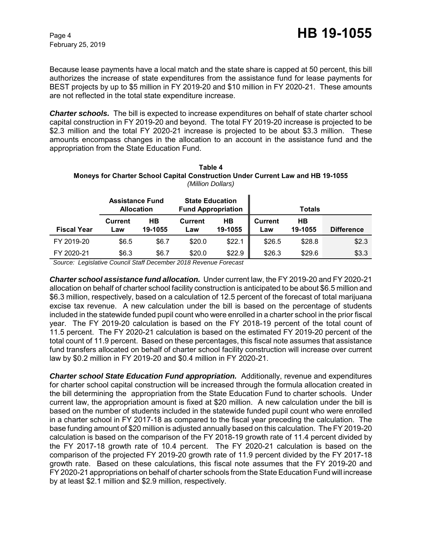Because lease payments have a local match and the state share is capped at 50 percent, this bill authorizes the increase of state expenditures from the assistance fund for lease payments for BEST projects by up to \$5 million in FY 2019-20 and \$10 million in FY 2020-21. These amounts are not reflected in the total state expenditure increase.

*Charter schools.* The bill is expected to increase expenditures on behalf of state charter school capital construction in FY 2019-20 and beyond. The total FY 2019-20 increase is projected to be \$2.3 million and the total FY 2020-21 increase is projected to be about \$3.3 million. These amounts encompass changes in the allocation to an account in the assistance fund and the appropriation from the State Education Fund.

| гаріе 4<br><b>Moneys for Charter School Capital Construction Under Current Law and HB 19-1055</b><br>(Million Dollars) |                                    |  |  |  |
|------------------------------------------------------------------------------------------------------------------------|------------------------------------|--|--|--|
|                                                                                                                        | State Education<br>Accictonce Eund |  |  |  |

**Table 4**

|                    | <b>Assistance Fund</b><br><b>Allocation</b> |               | <b>State Education</b><br><b>Fund Appropriation</b> |               |                       | <b>Totals</b> |                   |
|--------------------|---------------------------------------------|---------------|-----------------------------------------------------|---------------|-----------------------|---------------|-------------------|
| <b>Fiscal Year</b> | <b>Current</b><br>Law                       | HВ<br>19-1055 | <b>Current</b><br>Law                               | HВ<br>19-1055 | <b>Current</b><br>Law | HВ<br>19-1055 | <b>Difference</b> |
| FY 2019-20         | \$6.5                                       | \$6.7         | \$20.0                                              | \$22.1        | \$26.5                | \$28.8        | \$2.3             |
| FY 2020-21         | \$6.3                                       | \$6.7         | \$20.0                                              | \$22.9        | \$26.3                | \$29.6        | \$3.3             |

 *Source: Legislative Council Staff December 2018 Revenue Forecast*

*Charter school assistance fund allocation.* Under current law, the FY 2019-20 and FY 2020-21 allocation on behalf of charter school facility construction is anticipated to be about \$6.5 million and \$6.3 million, respectively, based on a calculation of 12.5 percent of the forecast of total marijuana excise tax revenue. A new calculation under the bill is based on the percentage of students included in the statewide funded pupil count who were enrolled in a charter school in the prior fiscal year. The FY 2019-20 calculation is based on the FY 2018-19 percent of the total count of 11.5 percent. The FY 2020-21 calculation is based on the estimated FY 2019-20 percent of the total count of 11.9 percent. Based on these percentages, this fiscal note assumes that assistance fund transfers allocated on behalf of charter school facility construction will increase over current law by \$0.2 million in FY 2019-20 and \$0.4 million in FY 2020-21.

*Charter school State Education Fund appropriation.* Additionally, revenue and expenditures for charter school capital construction will be increased through the formula allocation created in the bill determining the appropriation from the State Education Fund to charter schools. Under current law, the appropriation amount is fixed at \$20 million. A new calculation under the bill is based on the number of students included in the statewide funded pupil count who were enrolled in a charter school in FY 2017-18 as compared to the fiscal year preceding the calculation. The base funding amount of \$20 million is adjusted annually based on this calculation. The FY 2019-20 calculation is based on the comparison of the FY 2018-19 growth rate of 11.4 percent divided by the FY 2017-18 growth rate of 10.4 percent. The FY 2020-21 calculation is based on the comparison of the projected FY 2019-20 growth rate of 11.9 percent divided by the FY 2017-18 growth rate. Based on these calculations, this fiscal note assumes that the FY 2019-20 and FY 2020-21 appropriations on behalf of charter schools from the State Education Fund will increase by at least \$2.1 million and \$2.9 million, respectively.